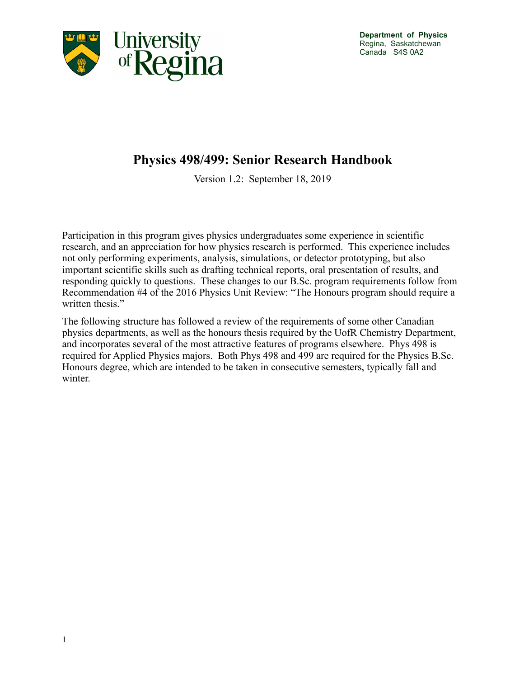

**Department of Physics** Regina, Saskatchewan Canada S4S 0A2

# **Physics 498/499: Senior Research Handbook**

Version 1.2: September 18, 2019

Participation in this program gives physics undergraduates some experience in scientific research, and an appreciation for how physics research is performed. This experience includes not only performing experiments, analysis, simulations, or detector prototyping, but also important scientific skills such as drafting technical reports, oral presentation of results, and responding quickly to questions. These changes to our B.Sc. program requirements follow from Recommendation #4 of the 2016 Physics Unit Review: "The Honours program should require a written thesis."

The following structure has followed a review of the requirements of some other Canadian physics departments, as well as the honours thesis required by the UofR Chemistry Department, and incorporates several of the most attractive features of programs elsewhere. Phys 498 is required for Applied Physics majors. Both Phys 498 and 499 are required for the Physics B.Sc. Honours degree, which are intended to be taken in consecutive semesters, typically fall and winter.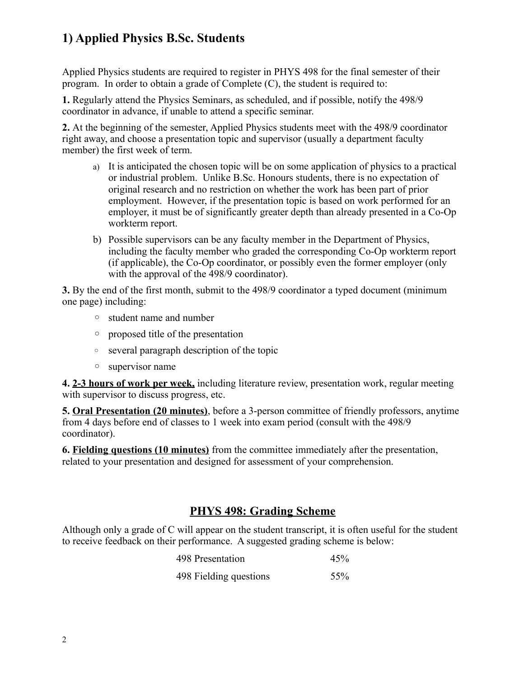# **1) Applied Physics B.Sc. Students**

Applied Physics students are required to register in PHYS 498 for the final semester of their program. In order to obtain a grade of Complete (C), the student is required to:

**1.** Regularly attend the Physics Seminars, as scheduled, and if possible, notify the 498/9 coordinator in advance, if unable to attend a specific seminar.

**2.** At the beginning of the semester, Applied Physics students meet with the 498/9 coordinator right away, and choose a presentation topic and supervisor (usually a department faculty member) the first week of term.

- a) It is anticipated the chosen topic will be on some application of physics to a practical or industrial problem. Unlike B.Sc. Honours students, there is no expectation of original research and no restriction on whether the work has been part of prior employment. However, if the presentation topic is based on work performed for an employer, it must be of significantly greater depth than already presented in a Co-Op workterm report.
- b) Possible supervisors can be any faculty member in the Department of Physics, including the faculty member who graded the corresponding Co-Op workterm report (if applicable), the Co-Op coordinator, or possibly even the former employer (only with the approval of the 498/9 coordinator).

**3.** By the end of the first month, submit to the 498/9 coordinator a typed document (minimum one page) including:

- student name and number
- proposed title of the presentation
- several paragraph description of the topic
- supervisor name

**4. 2-3 hours of work per week,** including literature review, presentation work, regular meeting with supervisor to discuss progress, etc.

**5. Oral Presentation (20 minutes)**, before a 3-person committee of friendly professors, anytime from 4 days before end of classes to 1 week into exam period (consult with the 498/9 coordinator).

**6. Fielding questions (10 minutes)** from the committee immediately after the presentation, related to your presentation and designed for assessment of your comprehension.

### **PHYS 498: Grading Scheme**

Although only a grade of C will appear on the student transcript, it is often useful for the student to receive feedback on their performance. A suggested grading scheme is below:

498 Presentation 45%

498 Fielding questions 55%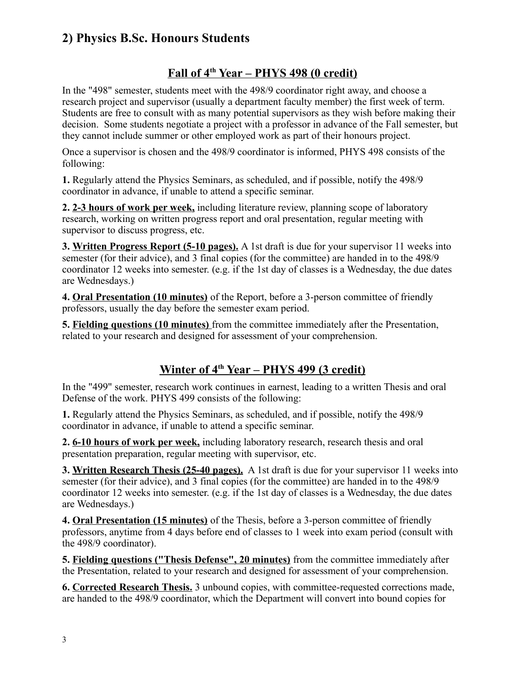# **2) Physics B.Sc. Honours Students**

# **Fall of 4th Year – PHYS 498 (0 credit)**

In the "498" semester, students meet with the 498/9 coordinator right away, and choose a research project and supervisor (usually a department faculty member) the first week of term. Students are free to consult with as many potential supervisors as they wish before making their decision. Some students negotiate a project with a professor in advance of the Fall semester, but they cannot include summer or other employed work as part of their honours project.

Once a supervisor is chosen and the 498/9 coordinator is informed, PHYS 498 consists of the following:

**1.** Regularly attend the Physics Seminars, as scheduled, and if possible, notify the 498/9 coordinator in advance, if unable to attend a specific seminar.

**2. 2-3 hours of work per week,** including literature review, planning scope of laboratory research, working on written progress report and oral presentation, regular meeting with supervisor to discuss progress, etc.

**3. Written Progress Report (5-10 pages).** A 1st draft is due for your supervisor 11 weeks into semester (for their advice), and 3 final copies (for the committee) are handed in to the 498/9 coordinator 12 weeks into semester. (e.g. if the 1st day of classes is a Wednesday, the due dates are Wednesdays.)

**4. Oral Presentation (10 minutes)** of the Report, before a 3-person committee of friendly professors, usually the day before the semester exam period.

**5. Fielding questions (10 minutes)** from the committee immediately after the Presentation, related to your research and designed for assessment of your comprehension.

# **Winter of 4th Year – PHYS 499 (3 credit)**

In the "499" semester, research work continues in earnest, leading to a written Thesis and oral Defense of the work. PHYS 499 consists of the following:

**1.** Regularly attend the Physics Seminars, as scheduled, and if possible, notify the 498/9 coordinator in advance, if unable to attend a specific seminar.

**2. 6-10 hours of work per week,** including laboratory research, research thesis and oral presentation preparation, regular meeting with supervisor, etc.

**3. Written Research Thesis (25-40 pages).** A 1st draft is due for your supervisor 11 weeks into semester (for their advice), and 3 final copies (for the committee) are handed in to the 498/9 coordinator 12 weeks into semester. (e.g. if the 1st day of classes is a Wednesday, the due dates are Wednesdays.)

**4. Oral Presentation (15 minutes)** of the Thesis, before a 3-person committee of friendly professors, anytime from 4 days before end of classes to 1 week into exam period (consult with the 498/9 coordinator).

**5. Fielding questions ("Thesis Defense", 20 minutes)** from the committee immediately after the Presentation, related to your research and designed for assessment of your comprehension.

**6. Corrected Research Thesis.** 3 unbound copies, with committee-requested corrections made, are handed to the 498/9 coordinator, which the Department will convert into bound copies for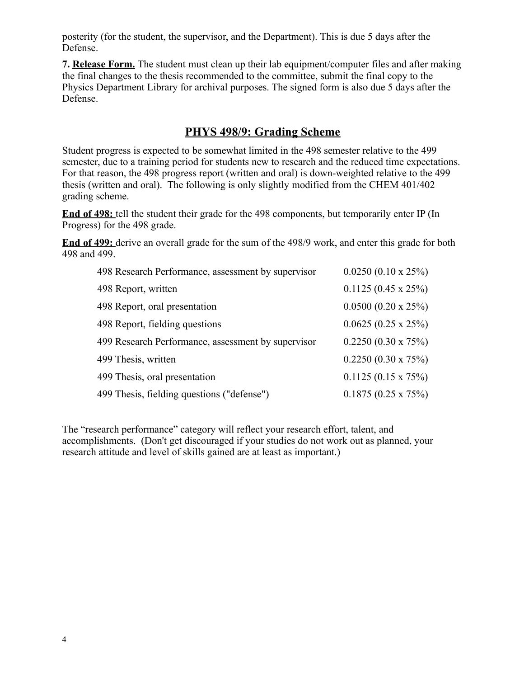posterity (for the student, the supervisor, and the Department). This is due 5 days after the Defense.

**7. Release Form.** The student must clean up their lab equipment/computer files and after making the final changes to the thesis recommended to the committee, submit the final copy to the Physics Department Library for archival purposes. The signed form is also due 5 days after the Defense.

### **PHYS 498/9: Grading Scheme**

Student progress is expected to be somewhat limited in the 498 semester relative to the 499 semester, due to a training period for students new to research and the reduced time expectations. For that reason, the 498 progress report (written and oral) is down-weighted relative to the 499 thesis (written and oral). The following is only slightly modified from the CHEM 401/402 grading scheme.

**End of 498:** tell the student their grade for the 498 components, but temporarily enter IP (In Progress) for the 498 grade.

**End of 499:** derive an overall grade for the sum of the 498/9 work, and enter this grade for both 498 and 499.

| 498 Research Performance, assessment by supervisor | $0.0250(0.10 \times 25\%)$ |
|----------------------------------------------------|----------------------------|
| 498 Report, written                                | $0.1125(0.45 \times 25\%)$ |
| 498 Report, oral presentation                      | 0.0500 (0.20 x 25%)        |
| 498 Report, fielding questions                     | $0.0625(0.25 \times 25\%)$ |
| 499 Research Performance, assessment by supervisor | $0.2250(0.30 \times 75\%)$ |
| 499 Thesis, written                                | $0.2250(0.30 \times 75\%)$ |
| 499 Thesis, oral presentation                      | $0.1125(0.15 \times 75\%)$ |
| 499 Thesis, fielding questions ("defense")         | $0.1875(0.25 \times 75\%)$ |

The "research performance" category will reflect your research effort, talent, and accomplishments. (Don't get discouraged if your studies do not work out as planned, your research attitude and level of skills gained are at least as important.)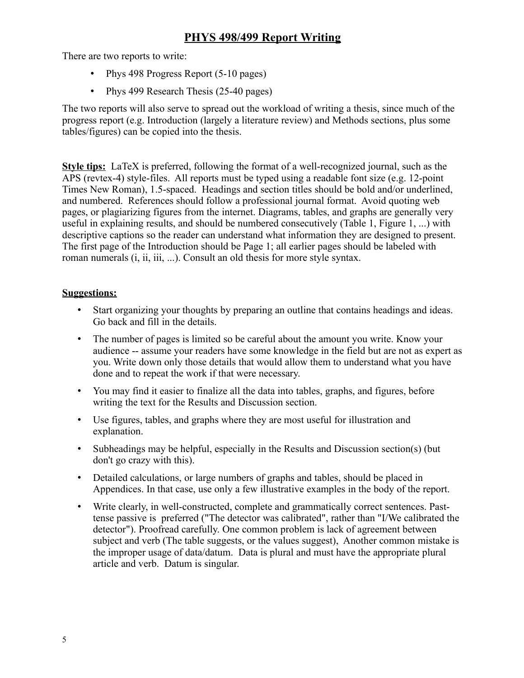# **PHYS 498/499 Report Writing**

There are two reports to write:

- Phys 498 Progress Report (5-10 pages)
- Phys 499 Research Thesis (25-40 pages)

The two reports will also serve to spread out the workload of writing a thesis, since much of the progress report (e.g. Introduction (largely a literature review) and Methods sections, plus some tables/figures) can be copied into the thesis.

**Style tips:** LaTeX is preferred, following the format of a well-recognized journal, such as the APS (revtex-4) style-files. All reports must be typed using a readable font size (e.g. 12-point Times New Roman), 1.5-spaced. Headings and section titles should be bold and/or underlined, and numbered. References should follow a professional journal format. Avoid quoting web pages, or plagiarizing figures from the internet. Diagrams, tables, and graphs are generally very useful in explaining results, and should be numbered consecutively (Table 1, Figure 1, ...) with descriptive captions so the reader can understand what information they are designed to present. The first page of the Introduction should be Page 1; all earlier pages should be labeled with roman numerals (i, ii, iii, ...). Consult an old thesis for more style syntax.

#### **Suggestions:**

- Start organizing your thoughts by preparing an outline that contains headings and ideas. Go back and fill in the details.
- The number of pages is limited so be careful about the amount you write. Know your audience -- assume your readers have some knowledge in the field but are not as expert as you. Write down only those details that would allow them to understand what you have done and to repeat the work if that were necessary.
- You may find it easier to finalize all the data into tables, graphs, and figures, before writing the text for the Results and Discussion section.
- Use figures, tables, and graphs where they are most useful for illustration and explanation.
- Subheadings may be helpful, especially in the Results and Discussion section(s) (but don't go crazy with this).
- Detailed calculations, or large numbers of graphs and tables, should be placed in Appendices. In that case, use only a few illustrative examples in the body of the report.
- Write clearly, in well-constructed, complete and grammatically correct sentences. Pasttense passive is preferred ("The detector was calibrated", rather than "I/We calibrated the detector"). Proofread carefully. One common problem is lack of agreement between subject and verb (The table suggests, or the values suggest), Another common mistake is the improper usage of data/datum. Data is plural and must have the appropriate plural article and verb. Datum is singular.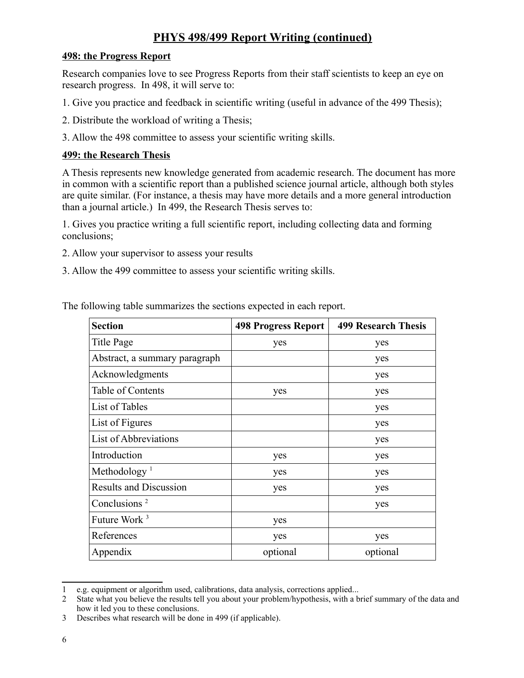### **PHYS 498/499 Report Writing (continued)**

#### **498: the Progress Report**

Research companies love to see Progress Reports from their staff scientists to keep an eye on research progress. In 498, it will serve to:

- 1. Give you practice and feedback in scientific writing (useful in advance of the 499 Thesis);
- 2. Distribute the workload of writing a Thesis;
- 3. Allow the 498 committee to assess your scientific writing skills.

#### **499: the Research Thesis**

A Thesis represents new knowledge generated from academic research. The document has more in common with a scientific report than a published science journal article, although both styles are quite similar. (For instance, a thesis may have more details and a more general introduction than a journal article.) In 499, the Research Thesis serves to:

1. Gives you practice writing a full scientific report, including collecting data and forming conclusions;

- 2. Allow your supervisor to assess your results
- 3. Allow the 499 committee to assess your scientific writing skills.

| <b>Section</b>                | <b>498 Progress Report</b> | <b>499 Research Thesis</b> |  |
|-------------------------------|----------------------------|----------------------------|--|
| Title Page                    | yes                        | yes                        |  |
| Abstract, a summary paragraph |                            | yes                        |  |
| Acknowledgments               |                            | yes                        |  |
| Table of Contents             | yes                        | yes                        |  |
| List of Tables                |                            | yes                        |  |
| List of Figures               |                            | yes                        |  |
| <b>List of Abbreviations</b>  |                            | yes                        |  |
| Introduction                  | yes                        | yes                        |  |
| Methodology $1$               | yes                        | yes                        |  |
| <b>Results and Discussion</b> | yes                        | yes                        |  |
| Conclusions <sup>2</sup>      |                            | yes                        |  |
| Future Work <sup>3</sup>      | yes                        |                            |  |
| References                    | yes                        | yes                        |  |
| Appendix                      | optional                   | optional                   |  |

The following table summarizes the sections expected in each report.

<span id="page-5-0"></span><sup>1</sup> e.g. equipment or algorithm used, calibrations, data analysis, corrections applied...

<span id="page-5-1"></span><sup>2</sup> State what you believe the results tell you about your problem/hypothesis, with a brief summary of the data and how it led you to these conclusions.

<span id="page-5-2"></span><sup>3</sup> Describes what research will be done in 499 (if applicable).